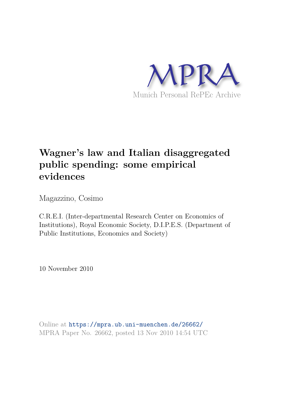

# **Wagner's law and Italian disaggregated public spending: some empirical evidences**

Magazzino, Cosimo

C.R.E.I. (Inter-departmental Research Center on Economics of Institutions), Royal Economic Society, D.I.P.E.S. (Department of Public Institutions, Economics and Society)

10 November 2010

Online at https://mpra.ub.uni-muenchen.de/26662/ MPRA Paper No. 26662, posted 13 Nov 2010 14:54 UTC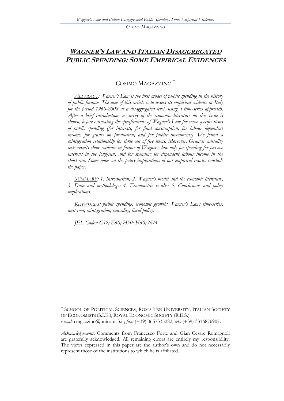## **WAGNER'S LAW AND ITALIAN DISAGGREGATED PUBLIC SPENDING: SOME EMPIRICAL EVIDENCES**

## COSIMO MAGAZZINO

*ABSTRACT: Wagner's Law is the first model of public spending in the history of public finance. The aim of this article is to assess its empirical evidence in Italy for the period 1960-2008 at a disaggregated level, using a time-series approach. After a brief introduction, a survey of the economic literature on this issue is shown, before estimating the specifications of Wagner's Law for some specific items of public spending (for interests, for final consumption, for labour dependent income, for grants on production, and for public investments). We found a cointegration relationship for three out of five items. Moreover, Granger causality tests results show evidence in favour of Wagner's law only for spending for passive interests in the long-run, and for spending for dependent labour income in the short-run. Some notes on the policy implications of our empirical results conclude the paper.* 

*SUMMARY: 1. Introduction; 2. Wagner's model and the economic literature; 3. Data and methodology; 4. Econometric results; 5. Conclusions and policy implications.* 

*KEYWORDS: public spending; economic growth; Wagner's Law; time-series; unit root; cointegration; causality; fiscal policy.* 

*JEL Codes: C32; E60; H50; H60; N44.* 

 $\overline{a}$ 

SCHOOL OF POLITICAL SCIENCES, ROMA TRE UNIVERSITY; ITALIAN SOCIETY OF ECONOMISTS (S.I.E.); ROYAL ECONOMIC SOCIETY (R.E.S.). *e-mail:* cmgazzino@uniroma3.it; *fax:* (+39) 0657335282; *tel.:* (+39) 3316876907.

*Acknowledgements:* Comments from Francesco Forte and Gian Cesare Romagnoli are gratefully acknowledged. All remaining errors are entirely my responsibility. The views expressed in this paper are the author"s own and do not necessarily represent those of the institutions to which he is affiliated.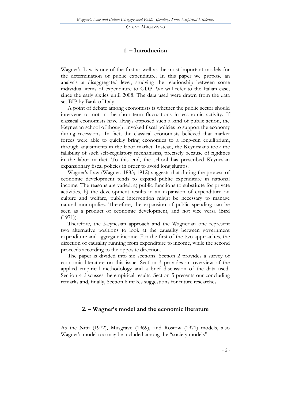#### **1. – Introduction**

Wagner's Law is one of the first as well as the most important models for the determination of public expenditure. In this paper we propose an analysis at disaggregated level, studying the relationship between some individual items of expenditure to GDP. We will refer to the Italian case, since the early sixties until 2008. The data used were drawn from the data set BIP by Bank of Italy.

A point of debate among economists is whether the public sector should intervene or not in the short-term fluctuations in economic activity. If classical economists have always opposed such a kind of public action, the Keynesian school of thought invoked fiscal policies to support the economy during recessions. In fact, the classical economists believed that market forces were able to quickly bring economies to a long-run equilibrium, through adjustments in the labor market. Instead, the Keynesians took the fallibility of such self-regulatory mechanisms, precisely because of rigidities in the labor market. To this end, the school has prescribed Keynesian expansionary fiscal policies in order to avoid long slumps.

Wagner's Law (Wagner, 1883; 1912) suggests that during the process of economic development tends to expand public expenditure in national income. The reasons are varied: a) public functions to substitute for private activities, b) the development results in an expansion of expenditure on culture and welfare, public intervention might be necessary to manage natural monopolies. Therefore, the expansion of public spending can be seen as a product of economic development, and not vice versa (Bird  $(1971)$ ).

Therefore, the Keynesian approach and the Wagnerian one represent two alternative positions to look at the causality between government expenditure and aggregate income. For the first of the two approaches, the direction of causality running from expenditure to income, while the second proceeds according to the opposite direction.

The paper is divided into six sections. Section 2 provides a survey of economic literature on this issue. Section 3 provides an overview of the applied empirical methodology and a brief discussion of the data used. Section 4 discusses the empirical results. Section 5 presents our concluding remarks and, finally, Section 6 makes suggestions for future researches.

#### **2. – Wagner's model and the economic literature**

As the Nitti (1972), Musgrave (1969), and Rostow (1971) models, also Wagner's model too may be included among the "society models".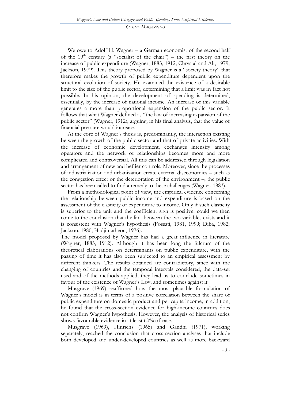We owe to Adolf H. Wagner – a German economist of the second half of the 19<sup>th</sup> century (a "socialist of the chair") – the first theory on the increase of public expenditure (Wagner, 1883, 1912; Chrystal and Alt, 1979; Jackson, 1979). This theory proposed by Wagner is a "society theory" that therefore makes the growth of public expenditure dependent upon the structural evolution of society. He examined the existence of a desirable limit to the size of the public sector, determining that a limit was in fact not possible. In his opinion, the development of spending is determined, essentially, by the increase of national income. An increase of this variable generates a more than proportional expansion of the public sector. It follows that what Wagner defined as "the law of increasing expansion of the public sector" (Wagner, 1912), arguing, in his final analysis, that the value of financial pressure would increase.

At the core of Wagner's thesis is, predominantly, the interaction existing between the growth of the public sector and that of private activities. With the increase of economic development, exchanges intensify among operators and the network of relationships becomes more and more complicated and controversial. All this can be addressed through legislation and arrangement of new and heftier controls. Moreover, since the processes of industrialization and urbanization create external diseconomies – such as the congestion effect or the deterioration of the environment –, the public sector has been called to find a remedy to these challenges (Wagner, 1883).

From a methodological point of view, the empirical evidence concerning the relationship between public income and expenditure is based on the assessment of the elasticity of expenditure to income. Only if such elasticity is superior to the unit and the coefficient sign is positive, could we then come to the conclusion that the link between the two variables exists and it is consistent with Wagner"s hypothesis (Fossati, 1981, 1999; Diba, 1982; Jackson, 1980; Hadjimatheou, 1976).

The model proposed by Wagner has had a great influence in literature (Wagner, 1883, 1912). Although it has been long the fulcrum of the theoretical elaborations on determinants on public expenditure, with the passing of time it has also been subjected to an empirical assessment by different thinkers. The results obtained are contradictory, since with the changing of countries and the temporal intervals considered, the data-set used and of the methods applied, they lead us to conclude sometimes in favour of the existence of Wagner's Law, and sometimes against it.

Musgrave (1969) reaffirmed how the most plausible formulation of Wagner's model is in terms of a positive correlation between the share of public expenditure on domestic product and per capita income; in addition, he found that the cross-section evidence for high-income countries does not confirm Wagner's hypothesis. However, the analysis of historical series shows favourable evidence in at least 60% of case.

Musgrave (1969), Hinrichs (1965) and Gandhi (1971), working separately, reached the conclusion that cross-section analyses that include both developed and under-developed countries as well as more backward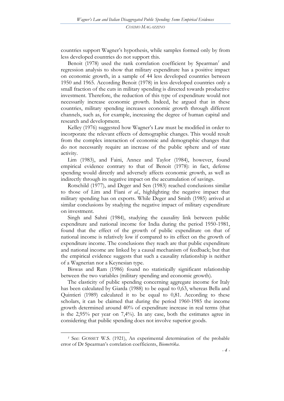countries support Wagner"s hypothesis, while samples formed only by from less developed countries do not support this.

Benoit (1978) used the rank correlation coefficient by Spearman<sup>1</sup> and regression analysis to show that military expenditure has a positive impact on economic growth, in a sample of 44 less developed countries between 1950 and 1965. According Benoit (1978) in less developed countries only a small fraction of the cuts in military spending is directed towards productive investment. Therefore, the reduction of this type of expenditure would not necessarily increase economic growth. Indeed, he argued that in these countries, military spending increases economic growth through different channels, such as, for example, increasing the degree of human capital and research and development.

Kelley (1976) suggested how Wagner's Law must be modified in order to incorporate the relevant effects of demographic changes. This would result from the complex interaction of economic and demographic changes that do not necessarily require an increase of the public sphere and of state activity.

Lim (1983), and Faini, Annez and Taylor (1984), however, found empirical evidence contrary to that of Benoit (1978): in fact, defense spending would directly and adversely affects economic growth, as well as indirectly through its negative impact on the accumulation of savings.

Rotschild (1977), and Deger and Sen (1983) reached conclusions similar to those of Lim and Fiani *et al.*, highlighting the negative impact that military spending has on exports. While Deger and Smith (1985) arrived at similar conclusions by studying the negative impact of military expenditure on investment.

Singh and Sahni (1984), studying the causality link between public expenditure and national income for India during the period 1950-1981, found that the effect of the growth of public expenditure on that of national income is relatively low if compared to its effect on the growth of expenditure income. The conclusions they reach are that public expenditure and national income are linked by a causal mechanism of feedback; but that the empirical evidence suggests that such a causality relationship is neither of a Wagnerian nor a Keynesian type.

Biswas and Ram (1986) found no statistically significant relationship between the two variables (military spending and economic growth).

The elasticity of public spending concerning aggregate income for Italy has been calculated by Giarda (1988) to be equal to 0,63, whereas Bella and Quintieri (1989) calculated it to be equal to 0,81. According to these scholars, it can be claimed that during the period 1960-1985 the income growth determined around 40% of expenditure increase in real terms (that is the 2,95% per year on 7,4%). In any case, both the estimates agree in considering that public spending does not involve superior goods.

 $\overline{a}$ 

*<sup>1</sup>* See: GOSSET W.S. (1921), An experimental determination of the probable error of Dr Spearman"s correlation coefficients, *Biometrika*.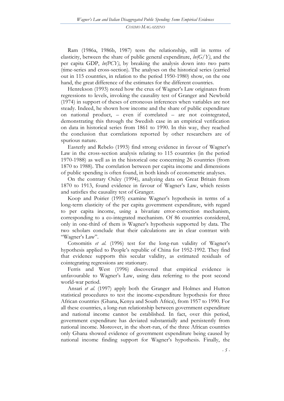Ram (1986a, 1986b, 1987) tests the relationship, still in terms of elasticity, between the share of public general expenditure, *ln(G/Y)*, and the per capita GDP, *ln(PCY)*, by breaking the analysis down into two parts (time-series and cross-section). The analyses on the historical series (carried out in 115 countries, in relation to the period 1950-1980) show, on the one hand, the great difference of the estimates for the different countries.

Henrekson (1993) noted how the crux of Wagner's Law originates from regressions to levels, invoking the causality test of Granger and Newbold (1974) in support of theses of erroneous inferences when variables are not steady. Indeed, he shown how income and the share of public expenditure on national product, – even if correlated – are not cointegrated, demonstrating this through the Swedish case in an empirical verification on data in historical series from 1861 to 1990. In this way, they reached the conclusion that correlations reported by other researchers are of spurious nature.

Easterly and Rebelo (1993) find strong evidence in favour of Wagner"s Law in the cross-section analysis relating to 115 countries (in the period 1970-1988) as well as in the historical one concerning 26 countries (from 1870 to 1988). The correlation between per capita income and dimensions of public spending is often found, in both kinds of econometric analyses.

On the contrary Oxley (1994), analyzing data on Great Britain from 1870 to 1913, found evidence in favour of Wagner"s Law, which resists and satisfies the causality test of Granger.

Koop and Poirier (1995) examine Wagner's hypothesis in terms of a long-term elasticity of the per capita government expenditure, with regard to per capita income, using a bivariate error-correction mechanism, corresponding to a co-integrated mechanism. Of 86 countries considered, only in one-third of them is Wagner"s hypothesis supported by data. The two scholars conclude that their calculations are in clear contrast with "Wagner's Law".

Cotsomitis *et al.* (1996) test for the long-run validity of Wagner's hypothesis applied to People"s republic of China for 1952-1992. They find that evidence supports this secular validity, as estimated residuals of cointegrating regressions are stationary.

Ferris and West (1996) discovered that empirical evidence is unfavourable to Wagner's Law, using data referring to the post second world-war period.

Ansari *et al.* (1997) apply both the Granger and Holmes and Hutton statistical procedures to test the income-expenditure hypothesis for three African countries (Ghana, Kenya and South Africa), from 1957 to 1990. For all these countries, a long-run relationship between government expenditure and national income cannot be established. In fact, over this period, government expenditure has deviated substantially and persistently from national income. Moreover, in the short-run, of the three African countries only Ghana showed evidence of government expenditure being caused by national income finding support for Wagner's hypothesis. Finally, the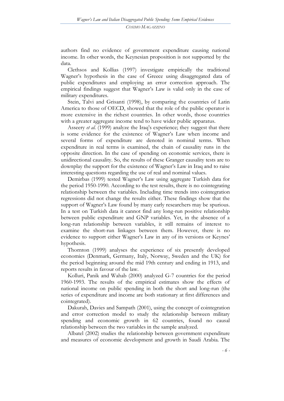authors find no evidence of government expenditure causing national income. In other words, the Keynesian proposition is not supported by the data.

Clethsos and Kollias (1997) investigate empirically the traditional Wagner"s hypothesis in the case of Greece using disaggregated data of public expenditures and employing an error correction approach. The empirical findings suggest that Wagner's Law is valid only in the case of military expenditures.

Stein, Talvi and Grisanti (1998), by comparing the countries of Latin America to those of OECD, showed that the role of the public operator is more extensive in the richest countries. In other words, those countries with a greater aggregate income tend to have wider public apparatus.

Asseery *et al.* (1999) analyze the Iraq"s experience; they suggest that there is some evidence for the existence of Wagner"s Law when income and several forms of expenditure are denoted in nominal terms. When expenditure in real terms is examined, the chain of causality runs in the opposite direction. In the case of spending on economic services, there is unidirectional causality. So, the results of these Granger causality tests are to downplay the support for the existence of Wagner"s Law in Iraq and to raise interesting questions regarding the use of real and nominal values.

Demirbas (1999) tested Wagner"s Law using aggregate Turkish data for the period 1950-1990. According to the test results, there is no cointegrating relationship between the variables. Including time trends into cointegration regressions did not change the results either. These findings show that the support of Wagner's Law found by many early researchers may be spurious. In a test on Turkish data it cannot find any long-run positive relationship between public expenditure and GNP variables. Yet, in the absence of a long-run relationship between variables, it still remains of interest to examine the short-run linkages between them. However, there is no evidence to support either Wagner's Law in any of its versions or Keynes' hypothesis.

Thornton (1999) analyses the experience of six presently developed economies (Denmark, Germany, Italy, Norway, Sweden and the UK) for the period beginning around the mid 19th century and ending in 1913, and reports results in favour of the law.

Kolluri, Panik and Wahab (2000) analyzed G-7 countries for the period 1960-1993. The results of the empirical estimates show the effects of national income on public spending in both the short and long-run (the series of expenditure and income are both stationary at first differences and cointegrated).

Dakurah, Davies and Sampath (2001), using the concept of cointegration and error correction model to study the relationship between military spending and economic growth in 62 countries, found no causal relationship between the two variables in the sample analyzed.

Albatel (2002) studies the relationship between government expenditure and measures of economic development and growth in Saudi Arabia. The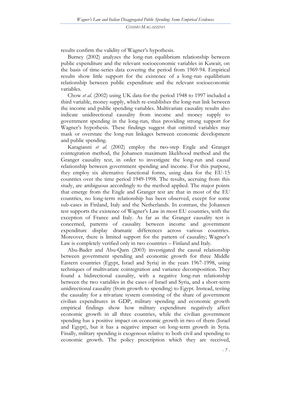results confirm the validity of Wagner's hypothesis.

Burney (2002) analyzes the long-run equilibrium relationship between public expenditure and the relevant socioeconomic variables in Kuwait, on the basis of time-series data covering the period from 1969-94. Empirical results show little support for the existence of a long-run equilibrium relationship between public expenditure and the relevant socioeconomic variables.

Chow *et al.* (2002) using UK data for the period 1948 to 1997 included a third variable, money supply, which re-establishes the long-run link between the income and public spending variables. Multivariate causality results also indicate unidirectional causality from income and money supply to government spending in the long-run, thus providing strong support for Wagner's hypothesis. These findings suggest that omitted variables may mask or overstate the long-run linkages between economic development and public spending.

Karagianni *et al.* (2002) employ the two-step Engle and Granger cointegration method, the Johansen maximum likelihood method and the Granger causality test, in order to investigate the long-run and causal relationship between government spending and income. For this purpose, they employ six alternative functional forms, using data for the EU-15 countries over the time period 1949-1998. The results, accruing from this study, are ambiguous accordingly to the method applied. The major points that emerge from the Εngle and Granger test are that in most of the EU countries, no long-term relationship has been observed, except for some sub-cases in Finland, Italy and the Netherlands. In contrast, the Johansen test supports the existence of Wagner"s Law in most EU countries, with the exception of France and Italy. As far as the Granger causality test is concerned, patterns of causality between income and government expenditure display dramatic differences across various countries. Moreover, there is limited support for the pattern of causality; Wagner's Law is completely verified only in two countries – Finland and Italy.

Abu-Bader and Abu-Qarn (2003) investigated the causal relationship between government spending and economic growth for three Middle Eastern countries (Egypt, Israel and Syria) in the years 1967-1998, using techniques of multivariate cointegration and variance decomposition. They found a bidirectional causality, with a negative long-run relationship between the two variables in the cases of Israel and Syria, and a short-term unidirectional causality (from growth to spending) to Egypt. Instead, testing the causality for a trivariate system consisting of the share of government civilian expenditures in GDP, military spending and economic growth empirical findings show how military expenditure negatively affect economic growth in all three countries, while the civilian government spending has a positive impact on economic growth in two of them (Israel and Egypt), but it has a negative impact on long-term growth in Syria. Finally, military spending is exogenous relative to both civil and spending to economic growth. The policy prescription which they are received,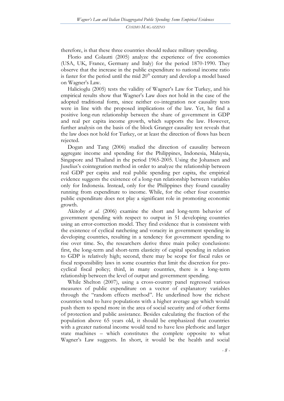therefore, is that these three countries should reduce military spending.

Florio and Colautti (2005) analyze the experience of five economies (USA, UK, France, Germany and Italy) for the period 1870-1990. They observe that the increase in the public expenditure to national income ratio is faster for the period until the mid  $20<sup>th</sup>$  century and develop a model based on Wagner"s Law.

Halicioglu (2005) tests the validity of Wagner's Law for Turkey, and his empirical results show that Wagner"s Law does not hold in the case of the adopted traditional form, since neither co-integration nor causality tests were in line with the proposed implications of the law. Yet, he find a positive long-run relationship between the share of government in GDP and real per capita income growth, which supports the law. However, further analysis on the basis of the block Granger causality test reveals that the law does not hold for Turkey, or at least the direction of flows has been rejected.

Dogan and Tang (2006) studied the direction of causality between aggregate income and spending for the Philippines, Indonesia, Malaysia, Singapore and Thailand in the period 1965-2005. Using the Johansen and Juselius"s cointegration method in order to analyze the relationship between real GDP per capita and real public spending per capita, the empirical evidence suggests the existence of a long-run relationship between variables only for Indonesia. Instead, only for the Philippines they found causality running from expenditure to income. While, for the other four countries public expenditure does not play a significant role in promoting economic growth.

Akitoby *et al.* (2006) examine the short and long-term behavior of government spending with respect to output in 51 developing countries using an error-correction model. They find evidence that is consistent with the existence of cyclical ratcheting and voracity in government spending in developing countries, resulting in a tendency for government spending to rise over time. So, the researchers derive three main policy conclusions: first, the long-term and short-term elasticity of capital spending in relation to GDP is relatively high; second, there may be scope for fiscal rules or fiscal responsibility laws in some countries that limit the discretion for procyclical fiscal policy; third, in many countries, there is a long-term relationship between the level of output and government spending.

While Shelton (2007), using a cross-country panel regressed various measures of public expenditure on a vector of explanatory variables through the "random effects method". He underlined how the richest countries tend to have populations with a higher average age which would push them to spend more in the area of social security and of other forms of protection and public assistance. Besides calculating the fraction of the population above 65 years old, it should be emphasized that countries with a greater national income would tend to have less plethoric and larger state machines – which constitutes the complete opposite to what Wagner's Law suggests. In short, it would be the health and social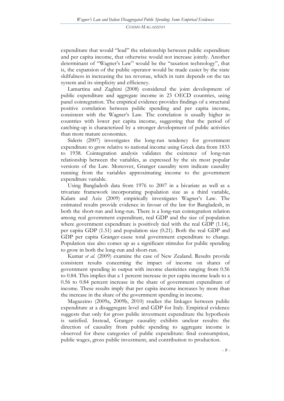expenditure that would "lead" the relationship between public expenditure and per capita income, that otherwise would not increase jointly. Another determinant of "Wagner's Law" would be the "taxation technology", that is, the expansion of the public operator would be made easier by the state skilfulness in increasing the tax revenue, which in turn depends on the tax system and its simplicity and efficiency.

Lamartina and Zaghini (2008) considered the joint development of public expenditure and aggregate income in 23 OECD countries, using panel cointegration. The empirical evidence provides findings of a structural positive correlation between public spending and per capita income, consistent with the Wagner's Law. The correlation is usually higher in countries with lower per capita income, suggesting that the period of catching-up is characterized by a stronger development of public activities than more mature economies.

Sideris (2007) investigates the long-run tendency for government expenditure to grow relative to national income using Greek data from 1833 to 1938. Cointegration analysis validates the existence of long-run relationship between the variables, as expressed by the six most popular versions of the Law. Moreover, Granger causality tests indicate causality running from the variables approximating income to the government expenditure variable.

Using Bangladesh data from 1976 to 2007 in a bivariate as well as a trivariate framework incorporating population size as a third variable, Kalam and Aziz (2009) empirically investigates Wagner's Law. The estimated results provide evidence in favour of the law for Bangladesh, in both the short-run and long-run. There is a long-run cointegration relation among real government expenditure, real GDP and the size of population where government expenditure is positively tied with the real GDP (1.14), per capita GDP (1.51) and population size (0.21). Both the real GDP and GDP per capita Granger-cause total government expenditure to change. Population size also comes up as a significant stimulus for public spending to grow in both the long-run and short-run.

Kumar *et al.* (2009) examine the case of New Zealand. Results provide consistent results concerning the impact of income on shares of government spending in output with income elasticities ranging from 0.56 to 0.84. This implies that a 1 percent increase in per capita income leads to a 0.56 to 0.84 percent increase in the share of government expenditure of income. These results imply that per capita income increases by more than the increase in the share of the government spending in income.

Magazzino (2009a, 2009b, 2010) studies the linkages between public expenditure at a disaggregate level and GDP for Italy. Empirical evidence suggests that only for gross public investment expenditure the hypothesis is satisfied. Instead, Granger causality exhibits unclear results: the direction of causality from public spending to aggregate income is observed for these categories of public expenditure: final consumption, public wages, gross public investment, and contribution to production.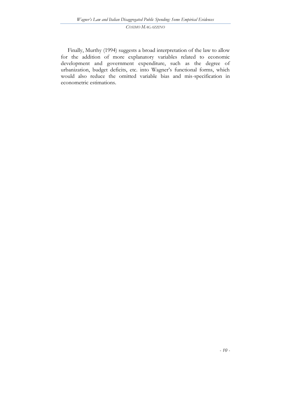Finally, Murthy (1994) suggests a broad interpretation of the law to allow for the addition of more explanatory variables related to economic development and government expenditure, such as the degree of urbanization, budget deficits, etc. into Wagner's functional forms, which would also reduce the omitted variable bias and mis-specification in econometric estimations.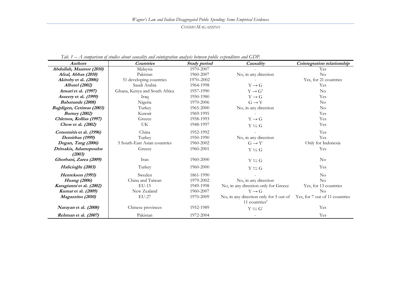| <b>Authors</b>               | <b>Countries</b>              | <b>Study period</b> | Causality                                                                                 | Cointegration relationship |
|------------------------------|-------------------------------|---------------------|-------------------------------------------------------------------------------------------|----------------------------|
| Abdullah, Maamor (2010)      | Malaysia                      | 1970-2007           |                                                                                           | Yes                        |
| Afzal, Abbas (2010)          | Pakistan                      | 1960-2007           | No, in any direction                                                                      | No                         |
| Akitoby et al. (2006)        | 51 developing countries       | 1970-2002           |                                                                                           | Yes, for 21 countries      |
| <b>Albatel</b> (2002)        | Saudi Arabia                  | 1964-1998           | $Y \rightarrow G$                                                                         | Yes                        |
| <i>Ansari</i> et al. (1997)  | Ghana, Kenya and South Africa | 1957-1990           | $Y \rightarrow G^b$                                                                       | N <sub>o</sub>             |
| Asseery et al. (1999)        | Iraq                          | 1950-1980           | $Y \rightarrow G$                                                                         | Yes                        |
| Babatunde (2008)             | Nigeria                       | 1970-2006           | $G \rightarrow Y$                                                                         | N <sub>o</sub>             |
| Bağdigen, Cetintas (2003)    | Turkey                        | 1965-2000           | No, in any direction                                                                      | N <sub>o</sub>             |
| <b>Burney (2002)</b>         | Kuwait                        | 1969-1995           |                                                                                           | Yes                        |
| Chletsos, Kollias (1997)     | Greece                        | 1958-1993           | $Y \rightarrow G$                                                                         | Yes                        |
| Chow et al. (2002)           | UK                            | 1948-1997           | $Y \leftrightarrows G$                                                                    | Yes                        |
| Cotsomitis et al. (1996)     | China                         | 1952-1992           |                                                                                           | Yes                        |
| Demirbas (1999)              | Turkey                        | 1950-1990           | No, in any direction                                                                      | Yes                        |
| Dogan, Tang (2006)           | 5 South-East Asian countries  | 1960-2002           | $G \rightarrow Y^c$                                                                       | Only for Indonesia         |
| Dritsakis, Adamopoulos       | Greece                        | 1960-2001           | $Y \leftrightarrows G$                                                                    | Yes                        |
| (2003)                       |                               |                     |                                                                                           |                            |
| Ghorbani, Zarea (2009)       | Iran                          | 1960-2000           | $Y \leftrightarrows G$                                                                    | N <sub>o</sub>             |
| Halicioğlu (2003)            | Turkey                        | 1960-2000           | $Y \leftrightarrows G$                                                                    | Yes                        |
| Henrekson (1993)             | Sweden                        | 1861-1990           |                                                                                           | $\rm No$                   |
| Huang (2006)                 | China and Taiwan              | 1979-2002           | No, in any direction                                                                      | $\rm No$                   |
| Karagianni et al. (2002)     | $EU-15$                       | 1949-1998           | No, in any direction only for Greece                                                      | Yes, for 13 countries      |
| <i>Kumar</i> et al. (2009)   | New Zealand                   | 1960-2007           | $Y \rightarrow G$                                                                         | $\rm No$                   |
| Magazzino (2010)             | EU-27                         | 1970-2009           | No, in any direction only for 5 out of Yes, for 7 out of 11 countries<br>11 countries $d$ |                            |
| <i>Narayan</i> et al. (2008) | Chinese provinces             | 1952-1989           | $Y \leftrightarrows G^e$                                                                  | Yes                        |
| <i>Rehman</i> et al. (2007)  | Pakistan                      | 1972-2004           |                                                                                           | Yes                        |

*Tab. 1 – A comparison of studies about causality and cointegration analysis between public expenditure and GDP.*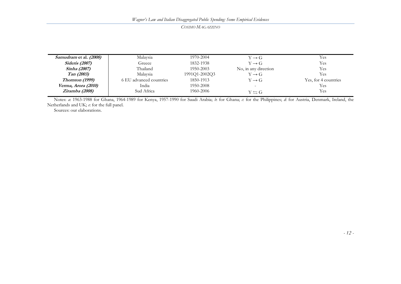| <i>Samudram</i> et al. (2008) | Malavsia                | 1970-2004     | $Y \rightarrow G$      | Yes                  |
|-------------------------------|-------------------------|---------------|------------------------|----------------------|
| <b>Sideris</b> (2007)         | Greece                  | 1832-1938     | $Y \rightarrow G$      | Yes                  |
| <i>Sinha (2007)</i>           | Thailand                | 1950-2003     | No, in any direction   | Yes                  |
| Tan (2003)                    | Malaysia                | 1991Q1-2002Q3 | $Y \rightarrow G$      | Yes                  |
| Thornton (1999)               | 6 EU advanced countries | 1850-1913     | $Y \rightarrow G$      | Yes, for 4 countries |
| Verma, Arora (2010)           | India                   | 1950-2008     |                        | Yes                  |
| Ziramba (2008)                | Sud Africa              | 1960-2006     | $Y \leftrightarrows G$ | Yes                  |

Notes: *a*: 1963-1988 for Ghana, 1964-1989 for Kenya, 1957-1990 for Saudi Arabia; *b*: for Ghana; *c*: for the Philippines; *d*: for Austria, Denmark, Ireland, the Netherlands and UK; *e*: for the full panel.

Sources: our elaborations.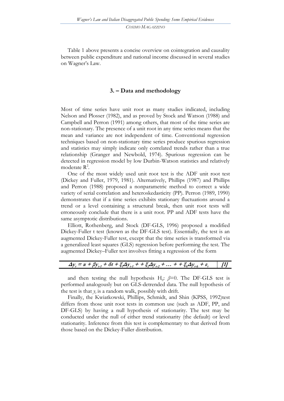Table 1 above presents a concise overview on cointegration and causality between public expenditure and national income discussed in several studies on Wagner's Law.

#### **3. – Data and methodology**

Most of time series have unit root as many studies indicated, including Nelson and Plosser (1982), and as proved by Stock and Watson (1988) and Campbell and Perron (1991) among others, that most of the time series are non-stationary. The presence of a unit root in any time series means that the mean and variance are not independent of time. Conventional regression techniques based on non-stationary time series produce spurious regression and statistics may simply indicate only correlated trends rather than a true relationship (Granger and Newbold, 1974). Spurious regression can be detected in regression model by low Durbin-Watson statistics and relatively moderate  $\mathbb{R}^2$ .

One of the most widely used unit root test is the ADF unit root test (Dickey and Fuller, 1979, 1981). Alternatively, Phillips (1987) and Phillips and Perron (1988) proposed a nonparametric method to correct a wide variety of serial correlation and heteroskedasticity (PP). Perron (1989, 1990) demonstrates that if a time series exhibits stationary fluctuations around a trend or a level containing a structural break, then unit root tests will erroneously conclude that there is a unit root. PP and ADF tests have the same asymptotic distributions.

Elliott, Rothenberg, and Stock (DF-GLS, 1996) proposed a modified Dickey-Fuller t test (known as the DF-GLS test). Essentially, the test is an augmented Dickey-Fuller test, except that the time series is transformed via a generalized least squares (GLS) regression before performing the test. The augmented Dickey–Fuller test involves fitting a regression of the form

| $\Delta y_t = \alpha + \beta y_{t-1} + \delta t + \xi_t \Delta y_{t-1} + \xi_t \Delta y_{t-2} + \dots + \xi_k \Delta y_{t-k} + \varepsilon_t$ [1] |  |
|---------------------------------------------------------------------------------------------------------------------------------------------------|--|
|---------------------------------------------------------------------------------------------------------------------------------------------------|--|

and then testing the null hypothesis  $H_0$ :  $\beta = 0$ . The DF-GLS test is performed analogously but on GLS-detrended data. The null hypothesis of the test is that  $y_t$  is a random walk, possibly with drift.

Finally, the Kwiatkowski, Phillips, Schmidt, and Shin (KPSS, 1992)test differs from those unit root tests in common use (such as ADF, PP, and DF-GLS) by having a null hypothesis of stationarity. The test may be conducted under the null of either trend stationarity (the default) or level stationarity. Inference from this test is complementary to that derived from those based on the Dickey-Fuller distribution.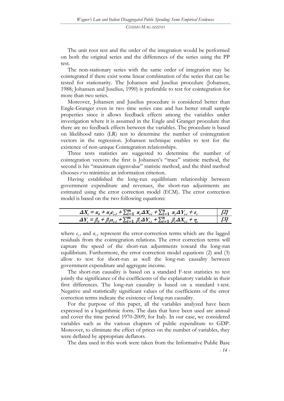The unit root test and the order of the integration would be performed on both the original series and the differences of the series using the PP test.

The non-stationary series with the same order of integration may be cointegrated if there exist some linear combination of the series that can be tested for stationarity. The Johansen and Juselius procedure (Johansen, 1988; Johansen and Juselius, 1990) is preferable to test for cointegration for more than two series.

Moreover, Johansen and Juselius procedure is considered better than Engle-Granger even in two time series case and has better small sample properties since it allows feedback effects among the variables under investigation where it is assumed in the Engle and Granger procedure that there are no feedback effects between the variables. The procedure is based on likelihood ratio (LR) test to determine the number of cointegration vectors in the regression. Johansen technique enables to test for the existence of non-unique Cointegration relationships.

Three tests statistics are suggested to determine the number of cointegration vectors: the first is Johansen's "trace" statistic method, the second is his "maximum eigenvalue" statistic method, and the third method chooses *r* to minimize an information criterion.

Having established the long-run equilibrium relationship between government expenditure and revenues, the short-run adjustments are estimated using the error correction model (ECM). The error correction model is based on the two following equations:

| $\Delta X_i = \alpha_0 + \alpha_1 c_{i1} + \sum_{i=1}^m \alpha_i \Delta X_{i} + \sum_{i=1}^n \alpha_i \Delta Y_{i} + \varepsilon_i$ | 12            |
|-------------------------------------------------------------------------------------------------------------------------------------|---------------|
| $\Delta Y_i = \beta_0 + \beta_1 u_{i} + \sum_{i=1}^m \beta_i \Delta Y_{i} + \sum_{i=1}^n \beta_i \Delta X_{i} + \eta_i$             | $\frac{3}{2}$ |

where  $e_{t-1}$  and  $u_{t-1}$  represent the error-correction terms which are the lagged residuals from the cointegration relations. The error correction terms will capture the speed of the short-run adjustments toward the long-run equilibrium. Furthermore, the error correction model equations (2) and (3) allow to test for short-run as well the long-run causality between government expenditure and aggregate income.

The short-run causality is based on a standard F-test statistics to test jointly the significance of the coefficients of the explanatory variable in their first differences. The long-run causality is based on a standard t-test. Negative and statistically significant values of the coefficients of the error correction terms indicate the existence of long-run causality.

For the purpose of this paper, all the variables analyzed have been expressed in a logarithmic form. The data that have been used are annual and cover the time period 1970-2009, for Italy. In our case, we considered variables such as the various chapters of public expenditure to GDP. Moreover, to eliminate the effect of prices on the number of variables, they were deflated by appropriate deflators.

The data used in this work were taken from the Informative Public Base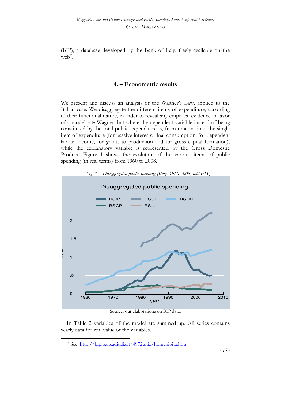(BIP), a database developed by the Bank of Italy, freely available on the web*<sup>2</sup>* .

### **4. – Econometric results**

We present and discuss an analysis of the Wagner's Law, applied to the Italian case. We disaggregate the different items of expenditure, according to their functional nature, in order to reveal any empirical evidence in favor of a model *à la* Wagner, but where the dependent variable instead of being constituted by the total public expenditure is, from time in time, the single item of expenditure (for passive interests, final consumption, for dependent labour income, for grants to production and for gross capital formation), while the explanatory variable is represented by the Gross Domestic Product. Figure 1 shows the evolution of the various items of public spending (in real terms) from 1960 to 2008.



*Fig. 1 – Disaggregated public spending (Italy, 1960-2008, mld EIT).* 

Source: our elaborations on BIP data.

In Table 2 variables of the model are summed up. All series contains yearly data for real value of the variables.

l.

*<sup>2</sup>* See: [http://bip.bancaditalia.it/4972unix/homebipita.htm.](http://bip.bancaditalia.it/4972unix/homebipita.htm)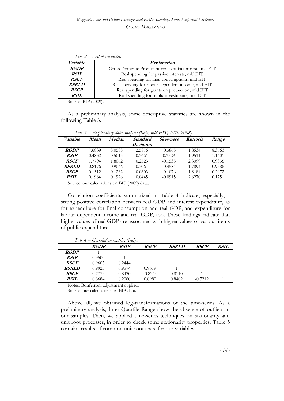|              | Tab. $2$ – List of variables.                           |
|--------------|---------------------------------------------------------|
| Variable     | <i>Explanation</i>                                      |
| <b>RGDP</b>  | Gross Domestic Product at constant factor cost, mld EIT |
| <b>RSIP</b>  | Real spending for passive interests, mld EIT            |
| <b>RSCF</b>  | Real spending for final consumptions, mld EIT           |
| <b>RSRLD</b> | Real spending for labour dependent income, mld EIT      |
| <b>RSCP</b>  | Real spending for grants on production, mld EIT         |
| <b>RSIL</b>  | Real spending for public investments, mld EIT           |

Source: BIP (2009).

As a preliminary analysis, some descriptive statistics are shown in the following Table 3.

| Variable     | Mean   | Median | <b>Standard</b> | <b>Skewness</b> | <b>Kurtosis</b> | Range  |
|--------------|--------|--------|-----------------|-----------------|-----------------|--------|
|              |        |        | Deviation       |                 |                 |        |
| <b>RGDP</b>  | 7.6839 | 8.0588 | 2.5876          | $-0.3865$       | 1.8534          | 8.3663 |
| <b>RSIP</b>  | 0.4832 | 0.5015 | 0.3661          | 0.3529          | 1.9511          | 1.1401 |
| <b>RSCF</b>  | 1.7794 | 1.8062 | 0.2523          | $-0.1535$       | 2.3099          | 0.9336 |
| <b>RSRLD</b> | 0.8176 | 0.9046 | 0.3061          | $-0.4584$       | 1.7894          | 0.9586 |
| <b>RSCP</b>  | 0.1312 | 0.1262 | 0.0603          | $-0.1076$       | 1.8184          | 0.2072 |
| <b>RSIL</b>  | 0.1964 | 0.1926 | 0.0445          | $-0.0915$       | 2.6270          | 0.1751 |

*Tab. 3 – Exploratory data analysis (Italy, mld EIT, 1970-2008).*

Source: our calculations on BIP (2009) data.

Correlation coefficients summarized in Table 4 indicate, especially, a strong positive correlation between real GDP and interest expenditure, as for expenditure for final consumption and real GDP, and expenditure for labour dependent income and real GDP, too. These findings indicate that higher values of real GDP are associated with higher values of various items of public expenditure.

|              | $Iuv, T = \bigcup \{U\}$ can our matrix $ Iuu $ . |             |             |              |             |             |
|--------------|---------------------------------------------------|-------------|-------------|--------------|-------------|-------------|
|              | <b>RGDP</b>                                       | <b>RSIP</b> | <b>RSCF</b> | <b>RSRLD</b> | <b>RSCP</b> | <b>RSIL</b> |
| <b>RGDP</b>  |                                                   |             |             |              |             |             |
| <b>RSIP</b>  | 0.9500                                            |             |             |              |             |             |
| <b>RSCF</b>  | 0.9605                                            | 0.2444      |             |              |             |             |
| <b>RSRLD</b> | 0.9923                                            | 0.9574      | 0.9619      |              |             |             |
| <b>RSCP</b>  | 0.7773                                            | 0.8420      | $-0.8244$   | 0.8110       |             |             |
| <b>RSIL</b>  | 0.8684                                            | 0.2080      | 0.8980      | 0.8402       | $-0.7212$   |             |

*Tab. 4 – Correlation matrix (Italy).* 

Notes: Bonferroni adjustment applied.

Source: our calculations on BIP data.

Above all, we obtained log-transformations of the time-series. As a preliminary analysis, Inter-Quartile Range show the absence of outliers in our samples. Then, we applied time-series techniques on stationarity and unit root processes, in order to check some stationarity properties. Table 5 contains results of common unit root tests, for our variables.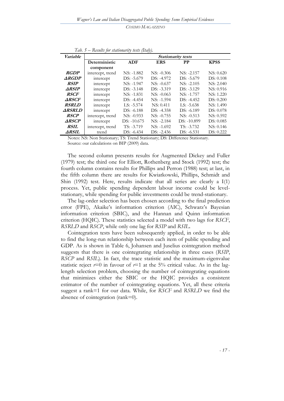| Variable            |                  | <b>Stationarity tests</b> |              |              |                   |  |  |
|---------------------|------------------|---------------------------|--------------|--------------|-------------------|--|--|
|                     | Deterministic    | <b>ADF</b>                | <b>ERS</b>   | PP           | <b>KPSS</b>       |  |  |
|                     | component        |                           |              |              |                   |  |  |
| <b>RGDP</b>         | intercept, trend | $NS: -1.882$              | $NS: -0.306$ | $NS: -2.157$ | NS: 0.620         |  |  |
| <b>ARGDP</b>        | intercept        | $DS: -5.679$              | $DS: -4.972$ | $DS: -5.679$ | DS: 0.108         |  |  |
| <b>RSIP</b>         | intercept        | NS: -1.947                | $NS: -0.637$ | $NS: -2.105$ | NS: 2.040         |  |  |
| $\triangle$ RSIP    | intercept        | $DS: -3.148$              | $DS: -3.319$ | $DS: -3.129$ | NS: 0.916         |  |  |
| <i>RSCF</i>         | intercept        | $NS: -1.831$              | $NS: -0.063$ | $NS: -1.757$ | NS: 1.220         |  |  |
| <b>ARSCF</b>        | intercept        | $DS: -4.454$              | $NS: -1.594$ | $DS: -4.452$ | DS: 0.200         |  |  |
| <b>RSRLD</b>        | intercept        | $LS: -5.574$              | NS: 0.411    | $LS: -5.638$ | NS: 1.490         |  |  |
| <b>ARSRLD</b>       | intercept        | $DS: -6.188$              | $DS: -4.358$ | $DS: -6.189$ | <b>DS</b> : 0.078 |  |  |
| <b>RSCP</b>         | intercept, trend | $NS: -0.933$              | $NS: -0.755$ | $NS: -0.513$ | NS: 0.592         |  |  |
| <b>ARSCP</b>        | intercept        | $DS: -10.675$             | $NS: -2.184$ | DS: -10.899  | DS: 0.085         |  |  |
| <b>RSIL</b>         | intercept, trend | $TS: -3.719$              | $NS: -1.692$ | $TS: -3.732$ | NS: 0.146         |  |  |
| <i><b>ARSIL</b></i> | trend            | $DS: -6.434$              | $DS: -2.436$ | $DS: -6.531$ | DS: 0.222         |  |  |

*Tab. 5 – Results for stationarity tests (Italy).* 

Notes: NS: Non Stationary; TS: Trend Stationary; DS: Difference Stationary. Source: our calculations on BIP (2009) data.

The second column presents results for Augmented Dickey and Fuller (1979) test; the third one for Elliott, Rothenberg and Stock (1992) test; the fourth column contains results for Phillips and Perron (1988) test; at last, in the fifth column there are results for Kwiatkowski, Phillips, Schmidt and Shin (1992) test. Here, results indicate that all series are clearly a  $I(1)$ process. Yet, public spending dependent labour income could be levelstationary, while spending for public investments could be trend-stationary.

The lag-order selection has been chosen according to the final prediction error (FPE), Akaike's information criterion (AIC), Schwarz's Bayesian information criterion (SBIC), and the Hannan and Quinn information criterion (HQIC). These statistics selected a model with two lags for *RSCF*, *RSRLD* and *RSCP*, while only one lag for *RSIP* and *RSIL*.

Cointegration tests have been subsequently applied, in order to be able to find the long-run relationship between each item of public spending and GDP. As is shown in Table 6, Johansen and Juselius cointegration method suggests that there is one cointegrating relationship in three cases (*RSIP*, *RSCP* and *RSIL*). In fact, the trace statistic and the maximum-eigenvalue statistic reject  $r=0$  in favour of  $r=1$  at the 5% critical value. As in the laglength selection problem, choosing the number of cointegrating equations that minimizes either the SBIC or the HQIC provides a consistent estimator of the number of cointegrating equations. Yet, all these criteria suggest a rank=1 for our data. While, for *RSCF* and *RSRLD* we find the absence of cointegration (rank=0).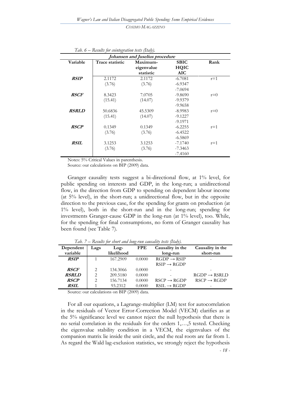| Johansen and Juselius procedure |                 |            |             |       |  |  |
|---------------------------------|-----------------|------------|-------------|-------|--|--|
| Variable                        | Trace statistic | Maximum-   | <b>SBIC</b> | Rank  |  |  |
|                                 |                 | eigenvalue | <b>HQIC</b> |       |  |  |
|                                 |                 | statistic  | <b>AIC</b>  |       |  |  |
| <b>RSIP</b>                     | 2.1172          | 2.1172     | $-6.7081$   | $r=1$ |  |  |
|                                 | (3.76)          | (3.76)     | $-6.9347$   |       |  |  |
|                                 |                 |            | $-7.0694$   |       |  |  |
| <b>RSCF</b>                     | 8.3423          | 7.0705     | $-9.8690$   | $r=0$ |  |  |
|                                 | (15.41)         | (14.07)    | $-9.9379$   |       |  |  |
|                                 |                 |            | $-9.9658$   |       |  |  |
| <b>RSRLD</b>                    | 50.6836         | 45.5309    | $-8.9983$   | $r=0$ |  |  |
|                                 | (15.41)         | (14.07)    | $-9.1227$   |       |  |  |
|                                 |                 |            | $-9.1971$   |       |  |  |
| <b>RSCP</b>                     | 0.1349          | 0.1349     | $-6.2255$   | $r=1$ |  |  |
|                                 | (3.76)          | (3.76)     | $-6.4522$   |       |  |  |
|                                 |                 |            | $-6.5869$   |       |  |  |
| <b>RSIL</b>                     | 3.1253          | 3.1253     | $-7.1740$   | $r=1$ |  |  |
|                                 | (3.76)          | (3.76)     | $-7.3463$   |       |  |  |
|                                 |                 |            | $-7.4160$   |       |  |  |

*Tab. 6 – Results for cointegration tests (Italy).* 

Notes: 5% Critical Values in parenthesis.

Source: our calculations on BIP (2009) data.

Granger causality tests suggest a bi-directional flow, at 1% level, for public spending on interests and GDP, in the long-run; a unidirectional flow, in the direction from GDP to spending on dependent labour income (at 5% level), in the short-run; a unidirectional flow, but in the opposite direction to the previous case, for the spending for grants on production (at 1% level), both in the short-run and in the long-run; spending for investments Granger-cause GDP in the long-run (at 1% level), too. While, for the spending for final consumptions, no form of Granger causality has been found (see Table 7).

|              |      |            | $\cdots$   | .                       |                          |
|--------------|------|------------|------------|-------------------------|--------------------------|
| Dependent    | Lags | $Log-$     | <b>FPE</b> | Causality in the        | Causality in the         |
| variable     |      | likelihood |            | long-run                | short-run                |
| <b>RSIP</b>  |      | 167.2909   | 0.0000     | $RGDP \rightarrow RSIP$ |                          |
|              |      |            |            | $RSIP \rightarrow RGDP$ |                          |
| <b>RSCF</b>  | 2    | 134.3066   | 0.0000     |                         |                          |
| <b>RSRLD</b> | 2    | 209.5180   | 0.0000     |                         | $RGDP \rightarrow RSRLD$ |
| <b>RSCP</b>  | 2    | 156.7134   | 0.0000     | $RSCP \rightarrow RGDP$ | $RSCP \rightarrow RGDP$  |
| <b>RSIL</b>  |      | 93.2312    | 0.0000     | $RSIL \rightarrow RGDP$ |                          |
|              |      |            |            |                         |                          |

*Tab. 7 – Results for short and long-run causality tests (Italy).* 

Source: our calculations on BIP (2009) data.

*- 18 -*  For all our equations, a Lagrange-multiplier (LM) test for autocorrelation in the residuals of Vector Error-Correction Model (VECM) clarifies as at the 5% significance level we cannot reject the null hypothesis that there is no serial correlation in the residuals for the orders 1,…,5 tested. Checking the eigenvalue stability condition in a VECM, the eigenvalues of the companion matrix lie inside the unit circle, and the real roots are far from 1. As regard the Wald lag-exclusion statistics, we strongly reject the hypothesis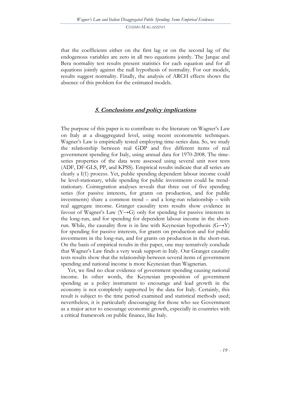that the coefficients either on the first lag or on the second lag of the endogenous variables are zero in all two equations jointly. The Jarque and Bera normality test results present statistics for each equation and for all equations jointly against the null hypothesis of normality. For our models, results suggest normality. Finally, the analysis of ARCH effects shows the absence of this problem for the estimated models.

#### **5. Conclusions and policy implications**

The purpose of this paper is to contribute to the literature on Wagner's Law on Italy at a disaggregated level, using recent econometric techniques. Wagner's Law is empirically tested employing time-series data. So, we study the relationship between real GDP and five different items of real government spending for Italy, using annual data for 1970-2008. The timeseries properties of the data were assessed using several unit root tests (ADF, DF-GLS, PP, and KPSS). Empirical results indicate that all series are clearly a I(1) process. Yet, public spending dependent labour income could be level-stationary, while spending for public investments could be trendstationary. Cointegration analyses reveals that three out of five spending series (for passive interests, for grants on production, and for public investments) share a common trend – and a long-run relationship – with real aggregate income. Granger causality tests results show evidence in favour of Wagner's Law (Y $\rightarrow$ G) only for spending for passive interests in the long-run, and for spending for dependent labour income in the shortrun. While, the causality flow is in line with Keynesian hypothesis  $(G \rightarrow Y)$ for spending for passive interests, for grants on production and for public investments in the long-run, and for grants on production in the short-run. On the basis of empirical results in this paper, one may tentatively conclude that Wagner's Law finds a very weak support in Italy. Our Granger causality tests results show that the relationship between several items of government spending and national income is more Keynesian than Wagnerian.

Yet, we find no clear evidence of government spending causing national income. In other words, the Keynesian proposition of government spending as a policy instrument to encourage and lead growth in the economy is not completely supported by the data for Italy. Certainly, this result is subject to the time period examined and statistical methods used; nevertheless, it is particularly discouraging for those who see Government as a major actor to encourage economic growth, especially in countries with a critical framework on public finance, like Italy.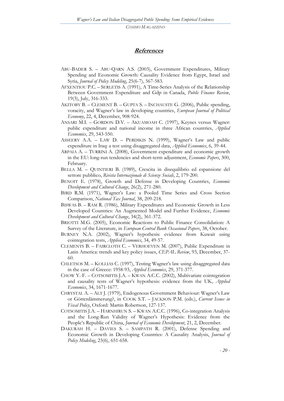#### **References**

- ABU-BADER S. ABU-QARN A.S. (2003), Government Expenditures, Military Spending and Economic Growth: Causality Evidence from Egypt, Israel and Syria, *Journal of Policy Modeling*, 25(6-7), 567-583.
- AFXENTIOU P.C. SERLETIS A. (1991), A Time-Series Analysis of the Relationship Between Government Expenditure and Gdp in Canada, *Public Finance Review*, 19(3), July, 316-333.
- AKITOBY B. CLEMENT B. GUPTA S. INCHAUSTE G. (2006), Public spending, voracity, and Wagner"s law in developing countries, *European Journal of Political Economy*, 22, 4, December, 908-924.
- ANSARI M.I. GORDON D.V. AKUAMOAH C. (1997), Keynes versus Wagner: public expenditure and national income in three African countries, *Applied Economics*, 29, 543-550.
- ASSEERY A.A. LAW  $D.$  PERDIKIS N. (1999), Wagner's Law and public expenditure in Iraq: a test using disaggregated data, *Applied Economics*, 6, 39-44.
- ARPAIA A. TURRINI A. (2008), Government expenditure and economic growth in the EU: long-run tendencies and short-term adjustment, *Economic Papers*, 300, February.
- BELLA M. QUINTIERI B. (1989), Crescita in disequilibrio ed espansione del settore pubblico, *Rivista Internazionale di Scienze Sociali*, 2, 179-200.
- BENOIT E. (1978), Growth and Defense in Developing Countries, *Economic Development and Cultural Change*, 26(2), 271-280.
- BIRD R.M. (1971), Wagner"s Law: a Pooled Time Series and Cross Section Comparison, *National Tax Journal*, 38, 209-218.
- BISWAS B. RAM R. (1986), Military Expenditures and Economic Growth in Less Developed Countries: An Augmented Model and Further Evidence, *Economic Development and Cultural Change*, 34(2), 361-372.
- BRIOTTI M.G. (2005), Economic Reactions to Public Finance Consolidation: A Survey of the Literature, in *European Central Bank Occasional Papers*, 38, October.
- BURNEY N.A. (2002), Wagner's hypothesis: evidence from Kuwait using cointegration tests, *Applied Economics*, 34, 49-57.
- CLEMENTS B. FAIRCLOTH C. VERHOEVEN M. (2007), Public Expenditure in Latin America: trends and key policy issues, *CEPAL Review*, 93, December, 37- 60.
- CHLETSOS M. KOLLIAS C. (1997), Testing Wagner"s law using disaggregated data in the case of Greece: 1958-93, *Applied Economics*, 29, 371-377.
- CHOW Y.-F. COTSOMITIS J.A. KWAN A.C.C. (2002), Multivariate cointegration and causality tests of Wagner"s hypothesis: evidence from the UK, *Applied Economics*, 34, 1671-1677.
- CHRYSTAL A. ALT J. (1979), Endogenous Government Behaviour: Wagner's Law or Götterdämmerung?, in COOK S.T. – JACKSON P.M. (eds.), *Current Issues in Fiscal Policy*, Oxford: Martin Robertson, 127-137.
- COTSOMITIS J.A. HARNHIRUN S. KWAN A.C.C. (1996), Co-integration Analysis and the Long-Run Validity of Wagner's Hypothesis: Evidence from the People"s Republic of China, *Journal of Economic Development*, 21, 2, December.
- DAKURAH H. DAVIES S. SAMPATH R. (2001), Defense Spending and Economic Growth in Developing Countries: A Causality Analysis, *Journal of Policy Modeling*, 23(6), 651-658.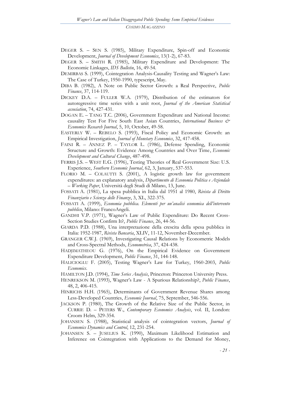- DEGER S. SEN S. (1985), Military Expenditure, Spin-off and Economic Development, *Journal of Development Economics*, 13(1-2), 67-83.
- DEGER S. SMITH R. (1985), Military Expenditure and Development: The Economic Linkages, *IDS Bulletin*, 16, 49-54.
- DEMIRBAS S. (1999), Cointegration Analysis-Causality Testing and Wagner's Law: The Case of Turkey, 1950-1990, typescript, May.
- DIBA B. (1982), A Note on Public Sector Growth: a Real Perspective, *Public Finance*, 37, 114-119.
- DICKEY D.A. FULLER W.A. (1979), Distribution of the estimators for autoregressive time series with a unit root, *Journal of the American Statistical association*, 74, 427-431.
- DOGAN E. TANG T.C. (2006), Government Expenditure and National Income: causality Test For Five South East Asian Countries, *International Business & Economics Research Journal*, 5, 10, October, 49-58.
- EASTERLY W. REBELO S. (1993), Fiscal Policy and Economic Growth: an Empirical Investigation, *Journal of Monetary Economics*, 32, 417-458.
- FAINI R. ANNEZ P. TAYLOR L. (1986), Defense Spending, Economic Structure and Growth: Evidence Among Countries and Over Time, *Economic Development and Cultural Change*, 487-498.
- FERRIS J.S. WEST E.G. (1996), Testing Theories of Real Government Size: U.S. Experience, *Southern Economic Journal*, 62, 3, January, 537-553.
- FLORIO M. COLAUTTI S. (2001), A logistic growth law for government expenditures: an explanatory analysis, *Dipartimento di Economia Politica e Aziendale – Working Paper*, Università degli Studi di Milano, 13, June.
- FOSSATI A. (1981), La spesa pubblica in Italia dal 1951 al 1980, *Rivista di Diritto Finanziario e Scienza delle Finanze*, 3, XL, 322-375.
- FOSSATI A. (1999), *Economia pubblica. Elementi per un'analisi economica dell'intervento pubblico*, Milano: FrancoAngeli.
- GANDHI V.P. (1971), Wagner's Law of Public Expenditure: Do Recent Cross-Section Studies Confirm It?, *Public Finance*, 26, 44-56.
- GIARDA P.D. (1988), Una interpretazione della crescita della spesa pubblica in Italia: 1952-1987, *Rivista Bancaria*, XLIV, 11-12, November-December.
- GRANGER C.W.J. (1969), Investigating Causal Relations by Econometric Models and Cross-Spectral Methods, *Econometrica*, 37, 424-438.
- HADJIMATHEOU G. (1976), On the Empirical Evidence on Government Expenditure Development, *Public Finance*, 31, 144-148.
- HALICIOGLU F. (2005), Testing Wagner's Law for Turkey, 1960-2003, *Public Economics*.
- HAMILTON J.D. (1994), *Time Series Analysis*, Princeton: Princeton University Press.
- HENREKSON M. (1993), Wagner"s Law A Spurious Relationship?, *Public Finance*, 48, 2, 406-415.
- HINRICHS H.H. (1965), Determinants of Government Revenue Shares among Less-Developed Countries, *Economic Journal*, 75, September, 546-556.
- JACKSON P. (1980), The Growth of the Relative Size of the Public Sector, in CURRIE D. – PETERS W., *Contemporary Economics Analysis*, vol. II, London: Croom Helm, 329-354.
- JOHANSEN S. (1988), Statistical analysis of cointegration vectors, *Journal of Economics Dynamics and Control*, 12, 231-254.
- JOHANSEN S. JUSELIUS K. (1990), Maximum Likelihood Estimation and Inference on Cointegration with Applications to the Demand for Money,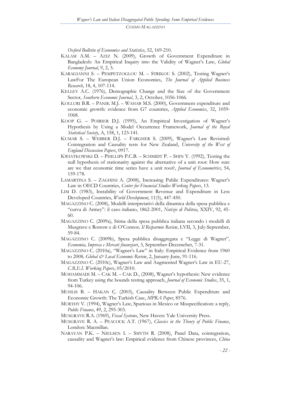*Oxford Bulletin of Economics and Statistics*, 52, 169-210.

- KALAM A.M. AZIZ N. (2009), Growth of Government Expenditure in Bangladesh: An Empirical Inquiry into the Validity of Wagner's Law, *Global Economy Journal*, 9, 2, 5.
- KARAGIANNI S. PEMPETZOGLOU M. STRIKOU S. (2002), Testing Wagner's LawFor The European Union Economies, *The Journal of Applied Business Research*, 18, 4, 107-114.
- KELLEY A.C. (1976), Demographic Change and the Size of the Government Sector, *Southern Economic Journal*, 3, 2, October, 1056-1066.
- KOLLURI B.R. PANIK M.J. WAHAB M.S. (2000), Government expenditure and economic growth: evidence from G7 countries, *Applied Economics*, 32, 1059- 1068.
- KOOP G. POIRIER D.J. (1995), An Empirical Investigation of Wagner"s Hypothesis by Using a Model Occurrence Framework, *Journal of the Royal Statistical Society*, A, 158, 1, 123-141.
- KUMAR S. WEBBER D.J. FARGHER S. (2009), Wagner"s Law Revisited: Cointegration and Causality tests for New Zealand, *University of the West of England Discussion Papers*, 0917.
- KWIATKOWSKI D. PHILLIPS P.C.B. SCHMIDT P. SHIN Y. (1992), Testing the null hypothesis of stationarity against the alternative of a unit root: How sure are we that economic time series have a unit root?, *Journal of Econometrics*, 54, 159-178.
- LAMARTINA S. ZAGHINI A. (2008), Increasing Public Expenditures: Wagner"s Law in OECD Countries, *Center for Financial Studies Working Papers*, 13.
- LIM D. (1983), Instability of Government Revenue and Expenditure in Less Developed Countries, *World Development*, 11(5), 447-450.
- MAGAZZINO C. (2008), Modelli interpretativi della dinamica della spesa pubblica e "curva di Armey": il caso italiano, 1862-2001, *Notizie di Politeia*, XXIV, 92, 45- 60.
- MAGAZZINO C. (2009a), Stima della spesa pubblica italiana secondo i modelli di Musgrave e Rostow e di O"Connor*, Il Risparmio Review*, LVII, 3, July-September, 59-84.
- MAGAZZINO C. (2009b), Spesa pubblica disaggregata e "Legge di Wagner"*, Economia, Impresa e Mercati finanziari*, 3, September-Decemeber, 7-31.
- MAGAZZINO C. (2010a), "Wagner's Law" in Italy: Empirical Evidence from 1960 to 2008*, Global & Local Economic Review*, 2, January-June, 91-116.
- MAGAZZINO C. (2010c), Wagner's Law and Augmented Wagner's Law in EU-27, *C.R.E.I. Working Papers*, 05/2010.
- MOHAMMADI M. CAK M. CAK D., (2008), Wagner"s hypothesis: New evidence from Turkey using the bounds testing approach, *Journal of Economic Studies*, 35, 1, 94-106.
- MUHLIS B. HAKAN Ç. (2003), Causality Between Public Expenditure and Economic Growth: The Turkish Case, *MPRA Paper*, 8576.
- MURTHY V. (1994), Wagner"s Law, Spurious in Mexico or Misspecification: a reply, *Public Finance*, 49, 2, 295-303*.*
- MUSGRAVE R.A. (1969), *Fiscal Systems*, New Haven: Yale University Press.
- MUSGRAVE R. A. PEACOCK A.T. (1967), *Classics in the Theory of Public Finance*, London: Macmillan.
- NARAYAN P.K. NIELSEN I. SMYTH R. (2008), Panel Data, cointegration, causality and Wagner"s law: Empirical evidence from Chinese provinces, *China*